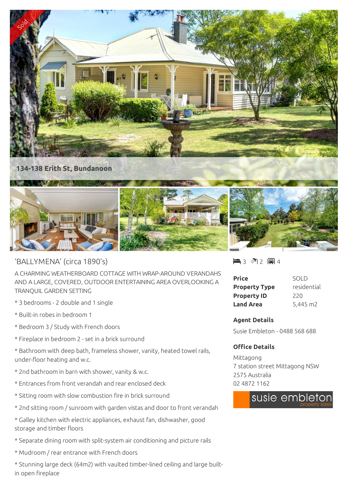

## 'BALLYMENA' (circa 1890's)

A CHARMING WEATHERBOARD COTTAGE WITH WRAP-AROUND VERANDAHS AND A LARGE, COVERED, OUTDOOR ENTERTAINING AREA OVERLOOKING A TRANQUIL GARDEN SETTING

- \* 3 bedrooms 2 double and 1 single
- \* Built-in robes in bedroom 1
- \* Bedroom 3 / Study with French doors
- \* Fireplace in bedroom 2 set in a brick surround
- \* Bathroom with deep bath, frameless shower, vanity, heated towel rails, under-floor heating and w.c.
- \* 2nd bathroom in barn with shower, vanity & w.c.
- \* Entrances from front verandah and rear enclosed deck
- \* Sitting room with slow combustion fire in brick surround
- \* 2nd sitting room / sunroom with garden vistas and door to front verandah
- \* Galley kitchen with electric appliances, exhaust fan, dishwasher, good storage and timber floors
- \* Separate dining room with split-system air conditioning and picture rails
- \* Mudroom / rear entrance with French doors
- \* Stunning large deck (64m2) with vaulted timber-lined ceiling and large builtin open fireplace

■3 图2 圓4

| Price                | SOI D       |
|----------------------|-------------|
| <b>Property Type</b> | residential |
| <b>Property ID</b>   | 220         |
| <b>Land Area</b>     | 5,445 m2    |

## **Agent Details**

Susie Embleton - 0488 568 688

## **Office Details**

Mittagong 7 station street Mittagong NSW 2575 Australia 02 4872 1162